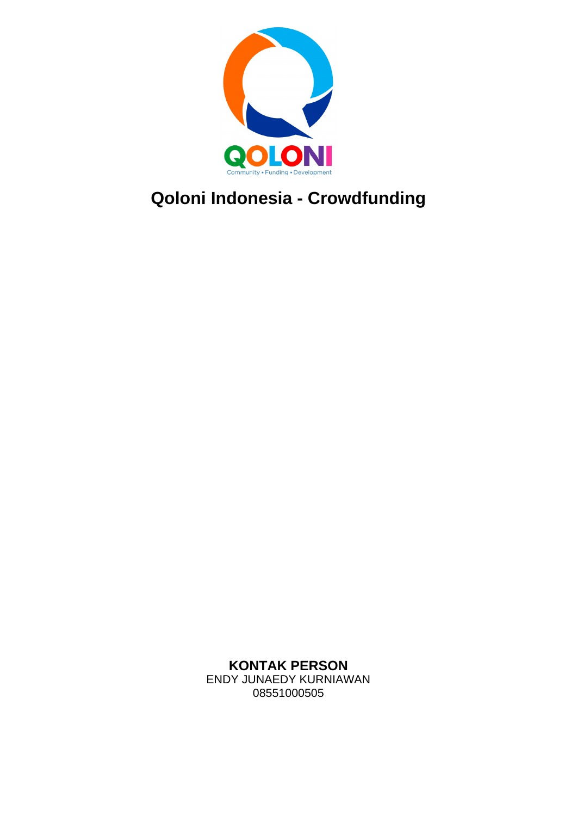

# **Qoloni Indonesia - Crowdfunding**

**KONTAK PERSON** ENDY JUNAEDY KURNIAWAN 08551000505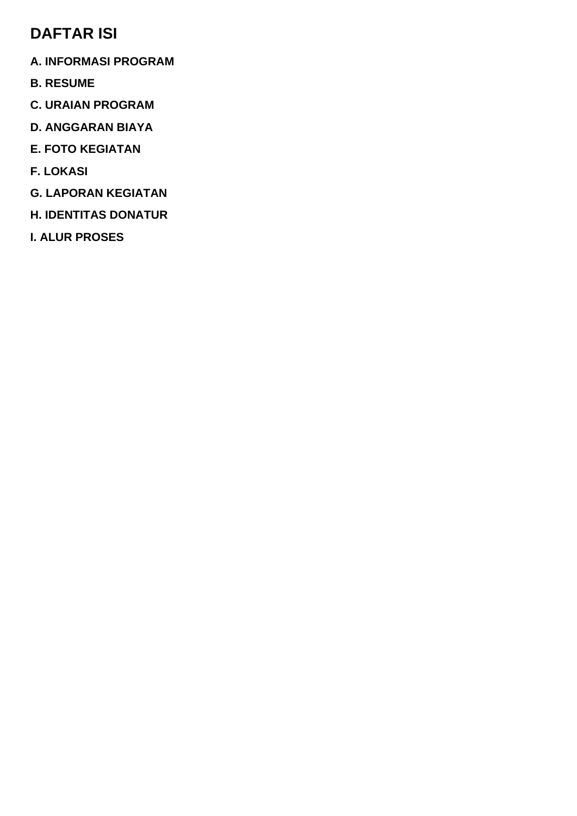### **DAFTAR ISI**

- **A. INFORMASI PROGRAM**
- **B. RESUME**
- **C. URAIAN PROGRAM**
- **D. ANGGARAN BIAYA**
- **E. FOTO KEGIATAN**
- **F. LOKASI**
- **G. LAPORAN KEGIATAN**
- **H. IDENTITAS DONATUR**
- **I. ALUR PROSES**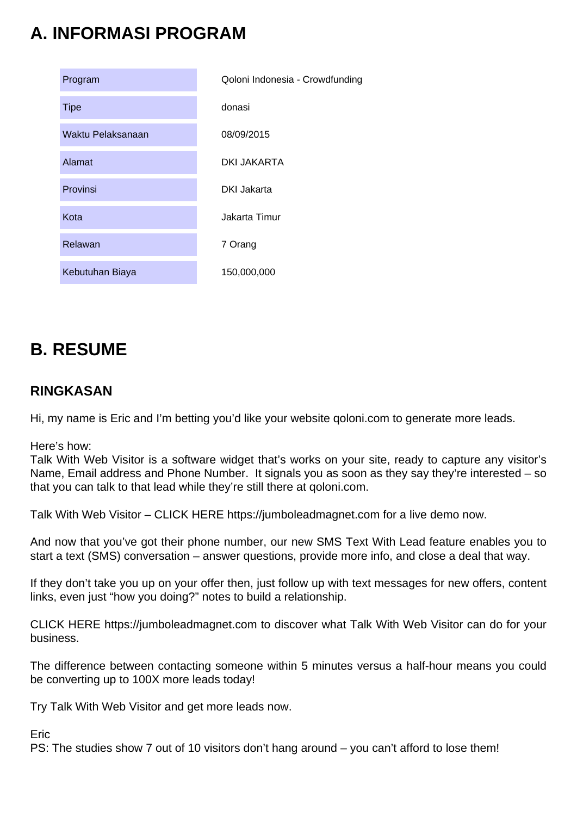# **A. INFORMASI PROGRAM**

| Program           | Qoloni Indonesia - Crowdfunding |  |
|-------------------|---------------------------------|--|
| <b>Tipe</b>       | donasi                          |  |
| Waktu Pelaksanaan | 08/09/2015                      |  |
| Alamat            | DKI JAKARTA                     |  |
| Provinsi          | <b>DKI Jakarta</b>              |  |
| Kota              | Jakarta Timur                   |  |
| Relawan           | 7 Orang                         |  |
| Kebutuhan Biaya   | 150,000,000                     |  |
|                   |                                 |  |

## **B. RESUME**

### **RINGKASAN**

Hi, my name is Eric and I'm betting you'd like your website qoloni.com to generate more leads.

Here's how:

Talk With Web Visitor is a software widget that's works on your site, ready to capture any visitor's Name, Email address and Phone Number. It signals you as soon as they say they're interested – so that you can talk to that lead while they're still there at qoloni.com.

Talk With Web Visitor – CLICK HERE https://jumboleadmagnet.com for a live demo now.

And now that you've got their phone number, our new SMS Text With Lead feature enables you to start a text (SMS) conversation – answer questions, provide more info, and close a deal that way.

If they don't take you up on your offer then, just follow up with text messages for new offers, content links, even just "how you doing?" notes to build a relationship.

CLICK HERE https://jumboleadmagnet.com to discover what Talk With Web Visitor can do for your business.

The difference between contacting someone within 5 minutes versus a half-hour means you could be converting up to 100X more leads today!

Try Talk With Web Visitor and get more leads now.

Eric

PS: The studies show 7 out of 10 visitors don't hang around – you can't afford to lose them!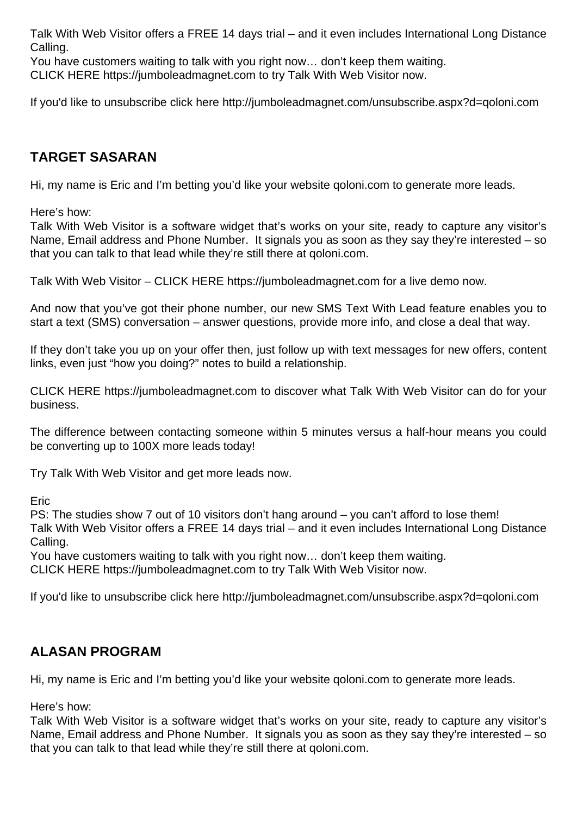Talk With Web Visitor offers a FREE 14 days trial – and it even includes International Long Distance Calling.

You have customers waiting to talk with you right now… don't keep them waiting.

CLICK HERE https://jumboleadmagnet.com to try Talk With Web Visitor now.

If you'd like to unsubscribe click here http://jumboleadmagnet.com/unsubscribe.aspx?d=qoloni.com

### **TARGET SASARAN**

Hi, my name is Eric and I'm betting you'd like your website qoloni.com to generate more leads.

Here's how:

Talk With Web Visitor is a software widget that's works on your site, ready to capture any visitor's Name, Email address and Phone Number. It signals you as soon as they say they're interested – so that you can talk to that lead while they're still there at qoloni.com.

Talk With Web Visitor – CLICK HERE https://jumboleadmagnet.com for a live demo now.

And now that you've got their phone number, our new SMS Text With Lead feature enables you to start a text (SMS) conversation – answer questions, provide more info, and close a deal that way.

If they don't take you up on your offer then, just follow up with text messages for new offers, content links, even just "how you doing?" notes to build a relationship.

CLICK HERE https://jumboleadmagnet.com to discover what Talk With Web Visitor can do for your business.

The difference between contacting someone within 5 minutes versus a half-hour means you could be converting up to 100X more leads today!

Try Talk With Web Visitor and get more leads now.

Eric

PS: The studies show 7 out of 10 visitors don't hang around – you can't afford to lose them! Talk With Web Visitor offers a FREE 14 days trial – and it even includes International Long Distance Calling.

You have customers waiting to talk with you right now… don't keep them waiting.

CLICK HERE https://jumboleadmagnet.com to try Talk With Web Visitor now.

If you'd like to unsubscribe click here http://jumboleadmagnet.com/unsubscribe.aspx?d=qoloni.com

### **ALASAN PROGRAM**

Hi, my name is Eric and I'm betting you'd like your website qoloni.com to generate more leads.

Here's how:

Talk With Web Visitor is a software widget that's works on your site, ready to capture any visitor's Name, Email address and Phone Number. It signals you as soon as they say they're interested – so that you can talk to that lead while they're still there at qoloni.com.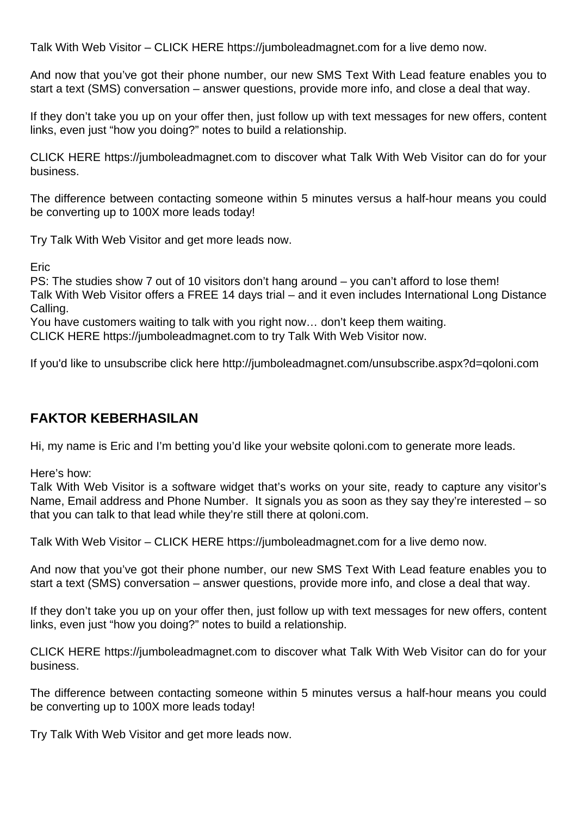Talk With Web Visitor – CLICK HERE https://jumboleadmagnet.com for a live demo now.

And now that you've got their phone number, our new SMS Text With Lead feature enables you to start a text (SMS) conversation – answer questions, provide more info, and close a deal that way.

If they don't take you up on your offer then, just follow up with text messages for new offers, content links, even just "how you doing?" notes to build a relationship.

CLICK HERE https://jumboleadmagnet.com to discover what Talk With Web Visitor can do for your business.

The difference between contacting someone within 5 minutes versus a half-hour means you could be converting up to 100X more leads today!

Try Talk With Web Visitor and get more leads now.

Eric

PS: The studies show 7 out of 10 visitors don't hang around – you can't afford to lose them! Talk With Web Visitor offers a FREE 14 days trial – and it even includes International Long Distance Calling.

You have customers waiting to talk with you right now… don't keep them waiting.

CLICK HERE https://jumboleadmagnet.com to try Talk With Web Visitor now.

If you'd like to unsubscribe click here http://jumboleadmagnet.com/unsubscribe.aspx?d=qoloni.com

### **FAKTOR KEBERHASILAN**

Hi, my name is Eric and I'm betting you'd like your website qoloni.com to generate more leads.

Here's how:

Talk With Web Visitor is a software widget that's works on your site, ready to capture any visitor's Name, Email address and Phone Number. It signals you as soon as they say they're interested – so that you can talk to that lead while they're still there at qoloni.com.

Talk With Web Visitor – CLICK HERE https://jumboleadmagnet.com for a live demo now.

And now that you've got their phone number, our new SMS Text With Lead feature enables you to start a text (SMS) conversation – answer questions, provide more info, and close a deal that way.

If they don't take you up on your offer then, just follow up with text messages for new offers, content links, even just "how you doing?" notes to build a relationship.

CLICK HERE https://jumboleadmagnet.com to discover what Talk With Web Visitor can do for your business.

The difference between contacting someone within 5 minutes versus a half-hour means you could be converting up to 100X more leads today!

Try Talk With Web Visitor and get more leads now.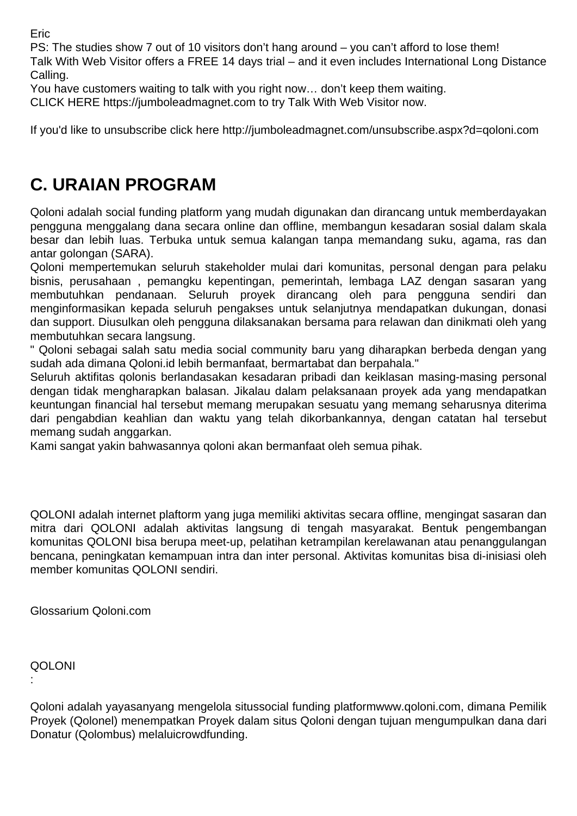Eric

PS: The studies show 7 out of 10 visitors don't hang around – you can't afford to lose them! Talk With Web Visitor offers a FREE 14 days trial – and it even includes International Long Distance Calling.

You have customers waiting to talk with you right now… don't keep them waiting.

CLICK HERE https://jumboleadmagnet.com to try Talk With Web Visitor now.

If you'd like to unsubscribe click here http://jumboleadmagnet.com/unsubscribe.aspx?d=qoloni.com

## **C. URAIAN PROGRAM**

Qoloni adalah social funding platform yang mudah digunakan dan dirancang untuk memberdayakan pengguna menggalang dana secara online dan offline, membangun kesadaran sosial dalam skala besar dan lebih luas. Terbuka untuk semua kalangan tanpa memandang suku, agama, ras dan antar golongan (SARA).

Qoloni mempertemukan seluruh stakeholder mulai dari komunitas, personal dengan para pelaku bisnis, perusahaan , pemangku kepentingan, pemerintah, lembaga LAZ dengan sasaran yang membutuhkan pendanaan. Seluruh proyek dirancang oleh para pengguna sendiri dan menginformasikan kepada seluruh pengakses untuk selanjutnya mendapatkan dukungan, donasi dan support. Diusulkan oleh pengguna dilaksanakan bersama para relawan dan dinikmati oleh yang membutuhkan secara langsung.

" Qoloni sebagai salah satu media social community baru yang diharapkan berbeda dengan yang sudah ada dimana Qoloni.id lebih bermanfaat, bermartabat dan berpahala."

Seluruh aktifitas qolonis berlandasakan kesadaran pribadi dan keiklasan masing-masing personal dengan tidak mengharapkan balasan. Jikalau dalam pelaksanaan proyek ada yang mendapatkan keuntungan financial hal tersebut memang merupakan sesuatu yang memang seharusnya diterima dari pengabdian keahlian dan waktu yang telah dikorbankannya, dengan catatan hal tersebut memang sudah anggarkan.

Kami sangat yakin bahwasannya qoloni akan bermanfaat oleh semua pihak.

QOLONI adalah internet plaftorm yang juga memiliki aktivitas secara offline, mengingat sasaran dan mitra dari QOLONI adalah aktivitas langsung di tengah masyarakat. Bentuk pengembangan komunitas QOLONI bisa berupa meet-up, pelatihan ketrampilan kerelawanan atau penanggulangan bencana, peningkatan kemampuan intra dan inter personal. Aktivitas komunitas bisa di-inisiasi oleh member komunitas QOLONI sendiri.

Glossarium Qoloni.com

### QOLONI

:

Qoloni adalah yayasanyang mengelola situssocial funding platformwww.qoloni.com, dimana Pemilik Proyek (Qolonel) menempatkan Proyek dalam situs Qoloni dengan tujuan mengumpulkan dana dari Donatur (Qolombus) melaluicrowdfunding.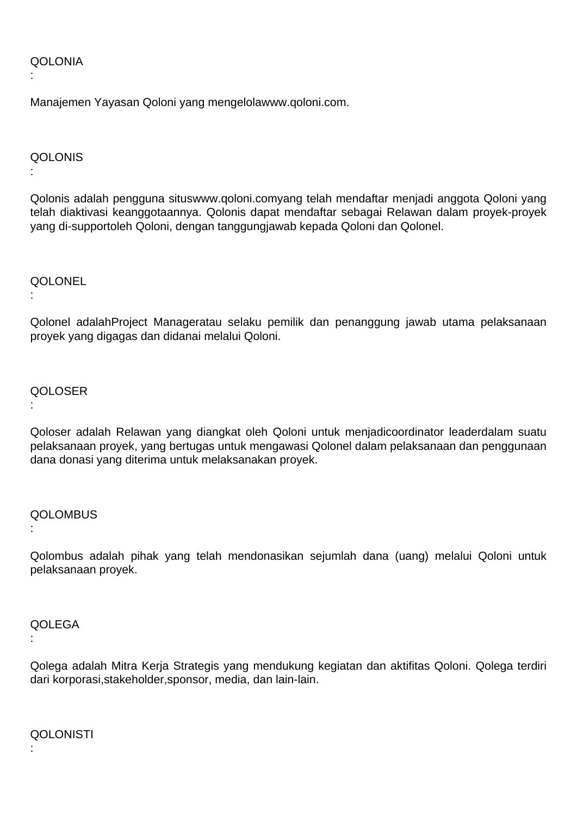#### **QOLONIA**

:

:

:

Manajemen Yayasan Qoloni yang mengelolawww.qoloni.com.

#### **QOLONIS**

Qolonis adalah pengguna situswww.qoloni.comyang telah mendaftar menjadi anggota Qoloni yang telah diaktivasi keanggotaannya. Qolonis dapat mendaftar sebagai Relawan dalam proyek-proyek yang di-supportoleh Qoloni, dengan tanggungjawab kepada Qoloni dan Qolonel.

**QOLONEL** 

Qolonel adalahProject Manageratau selaku pemilik dan penanggung jawab utama pelaksanaan proyek yang digagas dan didanai melalui Qoloni.

#### QOLOSER

:

Qoloser adalah Relawan yang diangkat oleh Qoloni untuk menjadicoordinator leaderdalam suatu pelaksanaan proyek, yang bertugas untuk mengawasi Qolonel dalam pelaksanaan dan penggunaan dana donasi yang diterima untuk melaksanakan proyek.

#### **QOLOMBUS**

:

Qolombus adalah pihak yang telah mendonasikan sejumlah dana (uang) melalui Qoloni untuk pelaksanaan proyek.

### **QOLEGA**

:

Qolega adalah Mitra Kerja Strategis yang mendukung kegiatan dan aktifitas Qoloni. Qolega terdiri dari korporasi,stakeholder,sponsor, media, dan lain-lain.

**QOLONISTI** 

: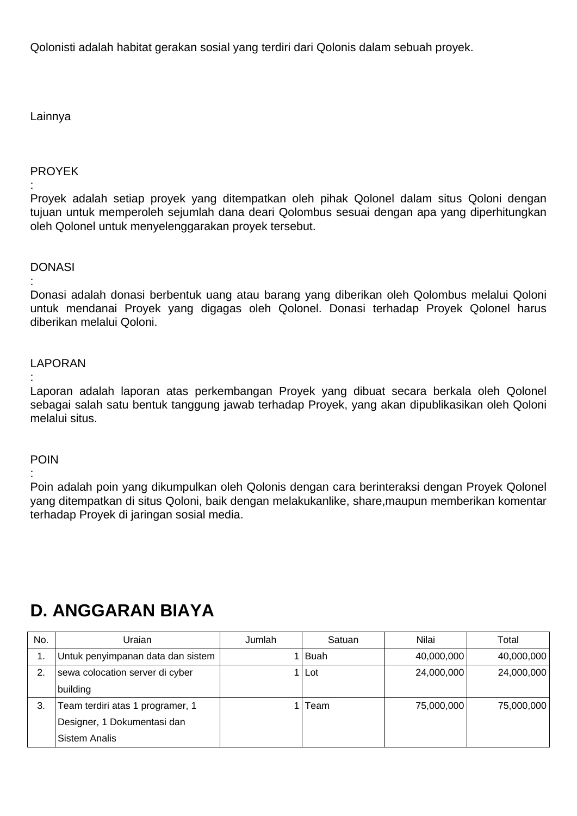Qolonisti adalah habitat gerakan sosial yang terdiri dari Qolonis dalam sebuah proyek.

### Lainnya

#### PROYEK

: Proyek adalah setiap proyek yang ditempatkan oleh pihak Qolonel dalam situs Qoloni dengan tujuan untuk memperoleh sejumlah dana deari Qolombus sesuai dengan apa yang diperhitungkan oleh Qolonel untuk menyelenggarakan proyek tersebut.

#### **DONASI**

: Donasi adalah donasi berbentuk uang atau barang yang diberikan oleh Qolombus melalui Qoloni untuk mendanai Proyek yang digagas oleh Qolonel. Donasi terhadap Proyek Qolonel harus diberikan melalui Qoloni.

#### LAPORAN

: Laporan adalah laporan atas perkembangan Proyek yang dibuat secara berkala oleh Qolonel sebagai salah satu bentuk tanggung jawab terhadap Proyek, yang akan dipublikasikan oleh Qoloni melalui situs.

#### POIN

:

Poin adalah poin yang dikumpulkan oleh Qolonis dengan cara berinteraksi dengan Proyek Qolonel yang ditempatkan di situs Qoloni, baik dengan melakukanlike, share,maupun memberikan komentar terhadap Proyek di jaringan sosial media.

### No. Uraian Jumlah Satuan Nilai Total 1. Untuk penyimpanan data dan sistem | 1 Buah 1 | 40,000,000 40,000,000 40,000,000 2. sewa colocation server di cyber building 1 Lot 24,000,000 24,000,000 3. Team terdiri atas 1 programer, 1 Designer, 1 Dokumentasi dan Sistem Analis 1 Team 75,000,000 75,000,000

## **D. ANGGARAN BIAYA**